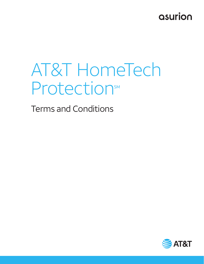## asurion

# AT&T HomeTech ProtectionsM

Terms and Conditions

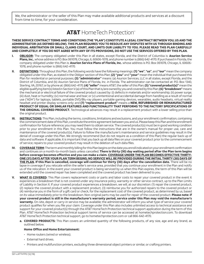We, the administrator or the seller of this Plan may make available additional products and services at a discount from time to time, for your consideration.

### **AT&T** HomeTech Protection®

#### **THESE SERVICE CONTRACT TERMS AND CONDITIONS (THE "PLAN") CONSTITUTE A LEGAL CONTRACT BETWEEN YOU, US AND THE ADMINISTRATOR (AS DEFINED BELOW). THIS PLAN REQUIRES YOU TO RESOLVE ANY DISPUTES WITH US THROUGH BINDING AND INDIVIDUAL ARBITRATION OR SMALL CLAIMS COURT, AND LIMITS OUR LIABILITY TO YOU. PLEASE READ THIS PLAN CAREFULLY AND COMPLETELY. IF YOU DO NOT AGREE WITH ANY OF ITS PROVISIONS, DO NOT USE THE SERVICES OFFERED BY THIS PLAN.**

- **I. OBLIGOR:** The company obligated under this Plan in all states, except Florida, and the District of Columbia is: **Asurion Service**  Plans, Inc., whose address is P.O. Box 061078, Chicago, IL 60606-1078, and phone number is (866) 642-4170. If purchased in Florida, the company obligated under this Plan is: **Asurion Service Plans of Florida, Inc.** whose address is P.O. Box 061078, Chicago, IL 60606- 1078, and phone number is (866) 642-4170.
- **II. DEFINITIONS:** Throughout this Plan, the following words have the following meanings: **(1) "we"**, **"us"**, and **"our"** mean the company obligated under this Plan, as stated in the Obligor section of this Plan; **(2) "you"** and **"your"** mean the individual that purchased this Plan for residential or personal purposes; **(3) "administrator"** means: (a) Asurion Services, LLC in all states, except Florida, and the District of Columbia, and (b) Asurion Service Plans of Florida, Inc. in Florida. The administrator can be contacted at: P.O. Box 1340, Sterling, VA, 20167, or by phone at: (866) 642-4170; **(4) "seller"** means AT&T, the seller of this Plan; **(5) "covered product(s)"** mean the eligible qualifying item(s) listed in Section V.(a) of this Plan that is/are owned by you and covered by this Plan; **(6) "breakdown"** means the mechanical or electrical failure of the covered product caused by: (i) defects in materials and/or workmanship; (ii) power surge; (iii) dust, heat or humidity; (iv) normal wear and tear; or (v) unintentional and accidental damage from handling as a result of normal use ("ADH") for laptops, tablets, portable DVD/Blu-ray players, portable gaming devices, wearables, audio headsets, virtual reality headset and printer display screens only; and **(7) "replacement product"** means a **NEW, REFURBISHED OR REMANUFACTURED PRODUCT OF EQUAL OR SIMILAR FEATURES AND FUNCTIONALITY THAT PERFORMS TO THE FACTORY SPECIFICATIONS OF THE ORIGINAL COVERED PRODUCT.** Technological advances may result in a replacement product with a lower selling price than the original product.
- **III. INSTRUCTIONS:** This Plan, including the terms, conditions, limitations and exclusions, and your enrollment confirmation, containing the commencement date of this Plan, constitute the entire agreement between you and us. Please keep this Plan and the enrollment confirmation for future reference; you may need them to obtain service. The covered product(s) must be in good working condition prior to your enrollment in this Plan. You must follow the instructions that are in the owner's manual for proper use, care and maintenance of the covered product(s). Failure to follow the manufacturer's maintenance and service guidelines may result in the denial of coverage under this Plan. We strongly recommend (but do not require as a condition of this Plan) the regular back up of data and software. If applicable, it is important that you back up all data files on your covered product prior to the commencement of service; repairs to your covered product may result in the deletion of such data files.
- **IV. COVERAGE TERM:** The term and monthly billing for this Plan begins on the date you enroll indicated on your enrollment confirmation and continues on a month-to-month basis unless cancelled. **There is thirty (30) day waiting period after the Plan term begins before coverage becomes effective and you can make a claim. COVERAGE UNDER THE PLAN BECOMES EFFECTIVE THIRTY-ONE (31) DAYS AFTER YOUR PLAN TERM BEGINS; NO SERVICE WILL BE PROVIDED DURING THE INITIAL THIRTY (30) DAYS OF THE PLAN. If this Plan is cancelled, coverage will continue for thirty (30) days after the cancellation date.** There will be no lapse in coverage if you relocate within the seller's service area, provided that you continue your enrollment in the Plan and notify us of the relocation. In the event your covered product is being serviced by us when this Plan expires, the term of this Plan will be extended until the covered repair has been completed and the covered product has been delivered to you.
- **V. WHAT IS COVERED:** This Plan covers replacement costs or parts and labor costs to repair your covered product in the event it experiences a breakdown that is not covered under any insurance policy, warranty or other service contract, up to the Plan Limits of Liability in Section X. If your covered product experiences a breakdown, we will, at our discretion: (1) repair the covered product, (2) replace the covered product with a replacement product, (3) reimburse you for authorized repairs to the covered product or (4) reimburse you in the form of a gift card or check, for the replacement cost of the covered product, as determined by us, based on its value immediately prior to the breakdown. Non-original parts may be used for repair of the covered product. **Please note: if your covered product is still in the manufacturer's warranty period, service under this Plan may void the manufacturer's warranty.** On-site, depot or carry-in service may be available; the administrator will inform you what type of service your covered product qualifies for when you file your claim. Coverage under this Plan also includes unlimited access to technical assistance and support for your covered product(s) through the AT&T HomeTech Protection technical support application during the term of this Plan. AT&T HomeTech Protection technical support terms of service can be accessed at hometechprotection.com. To download AT&T HomeTech Protection technical support, go to hometechprotection.com or call 866-642-4170.
	- **a. COVERED PRODUCTS:** This Plan covers an unlimited quantity of the following products, of any size, age and any brand, as outlined below.

#### **Home Office and Home Entertainment:**

- Home routers (wired or wireless).
- External hard drives.
- Printers and multifunction printers, excluding three dimensional object printers or similar, or crafting printers.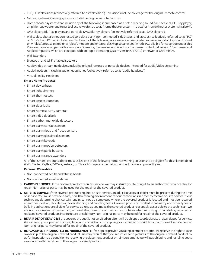- LCD, LED televisions (collectively referred to as "television"). Televisions include coverage for the original remote control.
- Gaming systems. Gaming systems include the original remote controls.
- Home theater systems that include any of the following if purchased as a set: a receiver, sound bar, speakers, Blu-Ray player, amplifier, subwoofer and tuner (collectively referred to as "home theater system in a box" or "home theater systems in a box").
- DVD players, Blu-Ray players and portable DVD/Blu-ray players (collectively referred to as "DVD players").
- Wifi tablets that are not connected to a data plan ("non-connected"), desktops, and laptops (collectively referred to as "PC" or "PCs"). Each PC can include one (1) of each of the following accessories: an associated external monitor, keyboard (wired or wireless), mouse (wired or wireless), modem and external desktop speaker set (wired). PCs eligible for coverage under this Plan are those equipped with a Windows Operating System version Windows 8 or newer or Android version 1.6 or newer and Apple computers which are equipped with an Apple operating system version OS X (10) or newer or Chrome OS.
- Wifi Extenders
- Bluetooth and Wi-Fi enabled speakers
- Audio/video streaming devices, including original remotes or portable devices intended for audio/video streaming
- Audio headsets, including audio headphones (collectively referred to as "audio headsets")
- Virtual Reality Headsets

#### **Smart Home Products:**

- Smart device hubs
- Smart light dimmers
- Smart thermostats
- Smart smoke detectors
- Smart door locks
- Smart home security cameras
- Smart video doorbells
- Smart carbon monoxide detectors
- Smart alarm contact sensors
- Smart alarm flood and freeze sensors
- Smart alarm glassbreak sensors
- Smart alarm keypads
- Smart alarm motion detectors
- Smart alarm panic buttons
- Smart alarm range extenders

 All of the "Smart" products above must utilize one of the following home networking solutions to be eligible for this Plan: enabled Wi-Fi, Matter, ZigBee, Z-Wave, Insteon, or Thread Group or other networking solution as approved by us.

#### **Personal Wearables:**

- Non-connected health and fitness bands
- Non-connected smart watches
- **b. CARRY-IN SERVICE:** If the covered product requires service, we may instruct you to bring it to an authorized repair center for repair. Non-original parts may be used for the repair of the covered product.
- **c. ON-SITE SERVICE:** If the covered product requires on-site service, an adult (18 years or older) must be present during the time of service. You must provide a safe, non-threatening environment for our technicians in order to receive on-site service. If our technicians determine that certain repairs cannot be completed where the covered product is located and must be repaired at another location, this Plan will cover shipping and handling costs. Covered products installed in cabinetry and other types of built-in applications are eligible for service as long as you make the covered product reasonably accessible to the technician. We are not responsible for dismantling or reinstalling furniture or fixed infrastructures when removing or reinstalling repaired or replaced covered products into furniture or cabinetry. Non-original parts may be used for repair of the covered product.
- **d. REPAIR DEPOT SERVICE:** If the covered product is not serviced on-site, it will be shipped to a designated repair depot for service. We will send you a prepaid shipping label and instructions for shipping your covered product to our authorized service center. Non-original parts may be used for repair of the covered product.
- **e. REPLACEMENT PRODUCTS & REIMBURSEMENTS:** If we opt to provide you a replacement product, we reserve the right to take ownership of the original covered product. We may require that you return or send pictures of the original covered product to us for inspection as a condition to receiving a replacement product or reimbursement. We will pay shipping and handling costs associated with the return of the original covered product.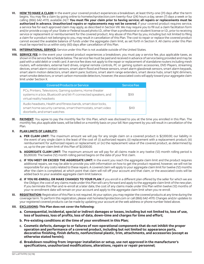- **VI. HOW TO MAKE A CLAIM:** In the event your covered product experiences a breakdown, at least thirty-one (31) days after the term begins. You may file a claim by going online to hometechprotection.com twenty-four (24) hours a day, seven (7) days a week or by calling (866) 642-4170, available 24/7. **You must file your claim prior to having service; all repairs or replacements must be authorized in advance. Unauthorized repairs or replacements may not be covered.** If your covered product requires service, a service fee for each approved claim may apply, as described in Section VIII. We may require you to fill out a claim facilitation form and/or provide a copy of your State or Federal issued photo I.D., other than a professional or student license or I.D., prior to receiving service or replacement or reimbursement for the covered product. Any abuse of this Plan by you, including but not limited to filing a claim for a product not belonging to you, may result in cancellation of this Plan. The cost to repair or replace the covered product cannot exceed the available balance of funds under the aggregate claim limit, as set forth in Section X. All claims under this Plan must be reported to us within sixty (60) days after cancellation of this Plan.
- **VII. INTERNATIONAL SERVICE:** Service under this Plan is not available outside of the United States.
- **VIII. SERVICE FEE:** In the event your covered product experiences a breakdown, you must pay a service fee, plus applicable taxes, as shown in the service fee schedule below. The service fee must be paid and received in advance of service being provided and may be paid with a valid debit or credit card. A service fee does not apply to the repair or replacement of standalone routers including mesh routers, wifi extenders, external hard drives, original remote controls, PC or gaming system accessories, DVD Players, streaming devices, smart alarm contact sensors, smart alarm flood and freeze sensors, smart alarm glassbreak sensors, smart alarm keypads, smart alarm motion detectors, smart alarm panic buttons, smart alarm range extenders, smart device hubs, smart light dimmers, smart smoke detectors, or smart carbon monoxide detectors, however, the associated costs will apply toward your aggregate claim limit under Section X.

| <b>Covered Products or Service</b>                                                                                                                         | <b>Service Fee</b> |
|------------------------------------------------------------------------------------------------------------------------------------------------------------|--------------------|
| PCs, Printers, Televisions, Gaming systems, Home theater<br>systems in a box, Bluetooth and Wi-Fi connected speakers, and<br>virtual reality headsets      | \$99               |
| Audio headsets, Health and fitness bands, smart door locks,<br>smart home security cameras, smart thermostats, smart video<br>doorbells, and smart watches | \$49               |

**IX.** PAYMENT: You agree to pay the monthly fee for this Plan, which was disclosed to you at the time you enrolled in this Plan. The monthly fee, plus applicable taxes, will be billed on a monthly basis on your bill. Non-payment by you will result in cancellation of the Plan.

#### **X. PLAN LIMITS OF LIABILITY:**

- **a. PER CLAIM LIMIT:** The maximum amount we will pay for any single claim on a covered product is \$2,000.00; our liability in the event of any single claim is the least of the cost of: (i) authorized repairs; (ii) replacement with a replacement product; (iii) reimbursement for authorized repairs or replacement; or (iv) the replacement value of the covered product, as determined by us, up to the per claim limit of this Plan of \$2,000.00.
- **b. AGGREGATE CLAIM LIMIT:** The maximum amount we will pay for all claims made in any twelve (12) month rolling period is \$5,000.00. The twelve (12) month rolling period begins on the date of your first claim.
- **c. IF YOU MEET OR EXCEED THE AGGREGATE LIMIT:** In the event you reach the aggregate claim limit and the product requires additional repairs, we may be able to provide you with information on how to get the product repaired, however, we will not be responsible for any costs related to these repairs. A covered claim will apply to your aggregate claim limit for twelve (12) months after the claim is completed, at which point that claim will roll off your account and that claim, or the associated costs will be added back to your available aggregate claim limit balance.
- **d. IF YOU RE-ENROLL OR MAKE CHANGES TO YOUR PLAN:** If you enroll in a different plan offered by the seller for which we are the Obligor, the cost of any claims made under this Plan will carry forward and apply to the aggregate claim limit of the new plan. If you terminate this Plan and re-enroll at a later date, the cost of any claims made under this Plan within twelve (12) months of your re-enrollment date will remain on your account and apply to the aggregate claim limit when you re-enroll.
- **XI. REGISTRATION:** Registration of this Plan is not required. At your option, you may register the covered products at any time during the coverage term. To perform this registration, please visit hometechprotection.com or call (866) 642-4170. Changes and/or updates to your registered covered products can be made by updating your account at the web address or phone number listed above.
- **XII. EXCLUSIONS: This Plan does not cover the following:**
	- **a. Consequential, incidental, special or indirect damages or losses, including but not limited to, loss of use, loss of business, loss of profits, loss of data, down-time and charges for time and effort;**
	- **b. Pre-existing conditions at the time of your enrollment in this Plan;**
	- **c. Cosmetic defects, damage to or failures of non-operational components that do not inhibit the proper operation and performance of a covered product, including but not limited to: appearance parts, decorative finishing, finish defects, nonfunctional plastic, trim, attachments, and accessories (except as otherwise stated herein);**
	- **d. Breakdown resulting from: improper installation or setup, use not approved in the manufacturer's specifications, unauthorized modifications, alterations, repairs or repair personnel;**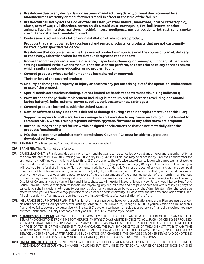- **e. Breakdown due to any design flaw or systemic manufacturing defect, or breakdown covered by a manufacturer's warranty or manufacturer's recall in effect at the time of the failure;**
- **f. Breakdown caused by acts of God or other disaster (whether natural, man-made, local or catastrophic), abuse, acts of war, civil disorders, corrosion, dirt, mold, dust, earthquake, fire, hail, insects or other animals, liquid immersion, malicious mischief, misuse, negligence, nuclear accident, riot, rust, sand, smoke, storm, terrorist attack, vandalism, wind;**
- **g. Costs associated with installation or uninstallation of any covered product;**
- **h. Products that are not owned by you, leased and rented products, or products that are not customarily located in your specified residence;**
- **i. Breakdown that occurs either while the covered product is in storage or in the course of transit, delivery, or redelivery, other than when located at our designated repair depot;**
- **j. Normal periodic or preventative maintenance, inspections, cleaning, or tune-ups, minor adjustments and settings outlined in the owner's manual that the user can perform, or costs related to any service request which results in customer education or no problem found;**
- **k. Covered products whose serial number has been altered or removed;**
- **l. Theft or loss of the covered product;**
- **m. Liability or damage to property, or injury or death to any person arising out of the operation, maintenance or use of the product;**
- **n. Special needs accessories including, but not limited to: handset boosters and visual ring indicators;**
- **o. Parts intended for periodic replacement including, but not limited to: batteries (excluding one annual laptop battery), bulbs, external power supplies, styluses, antennas, cartridges;**
- **p. Covered products located outside the United States;**
- **q. Data or software of any kind that is deleted or damaged during a repair or replacement under this Plan;**
- **r. Support or repairs to software, loss or damage to software due to any cause, including but not limited to: computer virus, worm, Trojan programs, adware, spyware, firmware or any other software program;**
- **s. Burned-in images and pixel failure within designed specifications or that do not materially alter the product's functionality;**
- **t. PCs that do not have administrator's permissions. Covered PCs must be able to upload and download software.**
- **XIII. RENEWAL:** This Plan renews from month-to-month unless cancelled.
- **XIV. TRANSFER:** This Plan is not transferable.
- **XV. CANCELLATION:** This Plan is provided on a month-to-month basis and can be cancelled by you at any time for any reason by notifying the administrator at P.O. Box 1818, Sterling, VA 20167 or by (866) 642-4170. This Plan may be cancelled by us or the administrator for any reason by notifying you in writing at least thirty (30) days prior to the effective date of cancellation, which notice shall state the effective date and reason for cancellation. If the Plan is cancelled: (a) by you within thirty (30) days of the receipt of this Plan, you will receive a full refund of all monthly Plan payments made by you under this Plan, less the cost of any claims that have been paid or repairs that have been made; or (b) by you after thirty (30) days of the receipt of this Plan, or cancelled by us or the administrator at any time, you will receive a refund equal to 100% of the pro-rata amount of the unearned portion of the monthly Plan fee, less the cost of any claims that have been paid or repairs that have been made. For residents of Alabama, Arkansas, California, Colorado, District of Columbia, Hawaii, Maine, Maryland, Massachusetts, Minnesota, Missouri, Nevada, New Jersey, New Mexico, New York, South Carolina, Texas, Washington, Wisconsin and Wyoming, any refund owed and not paid or credited within thirty (30) days of cancellation shall include a 10% penalty per month. Upon any cancellation by you, us or the Administrator, after the coverage effective date, you will have coverage provided at no cost for an additional thirty (30) days after the date of cancellation of this Plan. All claims under this Plan must be reported to us within sixty (60) days after cancellation of the Plan.
- **XVI. INSURANCE SECURING THIS PLAN:** This Plan is not an insurance policy, however, our obligations under this Plan are insured under an insurance policy issued by Continental Casualty Company, 151 N. Franklin St., Chicago, IL 60606. If you have filed a claim under this Plan and we fail to pay or provide service within sixty (60) days, or if we become insolvent or otherwise financially impaired, you may contact Continental Casualty Company directly at 1-800-831-4262 to report your claim.
- **XVII. CHANGES TO THE PLAN:** WE MAY CHANGE THE MONTHLY CHARGE FOR THE PLAN, ADMINISTRATION OF THE PLAN OR THESE TERMS AND CONDITIONS FROM TIME TO TIME UPON THIRTY (30) DAYS WRITTEN NOTICE TO YOU. SUCH NOTICE MAY BE PROVIDED AS IN A SEPARATE MAILING OR EMAIL OR BY ANY OTHER REASONABLE METHOD. IF YOU DO NOT AGREE TO THE MODIFIED CHARGES OR TERMS OF THE AGREEMENT, YOU MAY CANCEL THE PLAN BY NOTICE TO US OR THE ADMINISTRATOR AT ANY TIME IN ACCORDANCE WITH THESE TERMS AND CONDITIONS. THE PAYMENT OF APPLICABLE CHARGES BY YOU, OR A REQUEST FOR SERVICE UNDER THE PLAN, AFTER RECEIVING SUCH NOTICE OF A CHANGE IN THE CHARGES OR OTHER TERMS AND CONDITIONS WILL BE DEEMED TO BE ASSENT BY YOU TO THE CHANGE(S) IN THE CHARGES, TERMS OR CONDITIONS.
- **XVIII. LIMITATION OF LIABILITY:** IN NO EVENT WILL THE PLAN OBLIGOR, ADMINISTRATOR OR SELLER BE LIABLE FOR INDIRECT, INCIDENTAL OR CONSEQUENTIAL DAMAGES, INCLUDING BUT NOT LIMITED TO PERSONAL INJURIES OR LOSS OF INCOME ARISING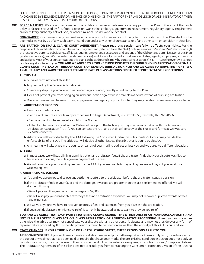OUT OF OR CONNECTED TO THE PROVISION OF THE PLAN, REPAIR OR REPLACEMENT OF COVERED PRODUCTS UNDER THE PLAN AND CAUSED BY NEGLIGENCE, ERROR, MISTAKE OR OMISSION ON THE PART OF THE PLAN OBLIGOR OR ADMINISTRATOR OR THEIR RESPECTIVE EMPLOYEES, AGENTS OR SUBCONTRACTORS.

**XIX. FORCE MAJEURE:** We are not responsible for any delay or failure in performance of any part of this Plan to the extent that such delay or failure is caused by fire, flood, explosion, war, strike, embargo, government requirement, regulatory agency requirement civil or military authority, acts of God, or other similar causes beyond our control.

 **NON-WAIVER:** Our failure in any circumstance to require strict compliance with any term or condition in this Plan shall not be deemed a waiver by us of any such term or condition under any other circumstance or of any other term or condition in this Plan.

**XX. ARBITRATION OR SMALL CLAIMS COURT AGREEMENT: Please read this section carefully. It affects your rights.** For the purposes of this arbitration or small claims court agreement (referred to as the "A.A") only, references to "we" and "us" also include (1) the respective parents, subsidiaries, affiliates, agents, employees, successors and assigns of the Obligor and administrator of this Plan (as defined above); and (2) the seller (as defined above) and its wholly owned subsidiaries, affiliates, agents, employees, successors and assigns. Most of your concerns about this plan can be addressed simply by contacting us at (866) 642-4170. In the event we cannot resolve any dispute with you, **YOU AND WE AGREE TO RESOLVE THOSE DISPUTES THROUGH BINDING ARBITRATION OR SMALL CLAIMS COURT INSTEAD OF THROUGH COURTS OF GENERAL JURISDICTION. YOU AND WE AGREE TO WAIVE THE RIGHT TO A TRIAL BY JURY AND WAIVE THE RIGHT TO PARTICIPATE IN CLASS ACTIONS OR OTHER REPRESENTATIVE PROCEEDINGS.**

#### **1. THIS A.A.:**

- **a.** Survives termination of this Plan.
- **b.** Is governed by the Federal Arbitration Act.
- **c.** Covers any dispute you have with us concerning or related, directly or indirectly, to this Plan.
- **d.** Does not prevent you from bringing an individual action against us in small claims court instead of pursuing arbitration.
- **e.** Does not prevent you from informing any government agency of your dispute. They may be able to seek relief on your behalf.

#### **2. ARBITRATION PROCESS:**

- **a.** How to start arbitration.
	- Send a written Notice of Claim by certified mail to Legal Department, P.O. Box 110656, Nashville, TN 37122-0656.
	- Describe the dispute and relief sought in the Notice.
	- If the dispute is not resolved within 30 days of receipt of the Notice, you may start an arbitration with the American Arbitration Association ("AAA"). You can contact the AAA and obtain a free copy of their rules and forms at www.adr.org or 1-800-778-7879.
- **b.** Arbitration will be conducted by the AAA following the Consumer Arbitration Rules ("Rules"). A court may decide the enforceability of this A.A. The arbitrator will decide all other issues. The arbitrator is bound by this A.A.
- **c.** Any hearing will take place in the county or parish of your mailing address unless you and we agree to a different location.

#### **3. FEES:**

- **a.** In most cases we will pay all filing, administration and arbitrator fees. If the arbitrator finds that your dispute was filed to harass or is frivolous, the Rules govern payment of the fees.
- **b.** We will reimburse you for a filing fee paid to the AAA. If you are unable to pay a filing fee, we will pay it if you send us a written request.

#### **4. ARBITRATION DECISION:**

- **a.** You and we agree not to disclose any settlement offers to the arbitrator before the arbitrator issues a decision.
- **b.** If the arbitrator finds in your favor and the damages awarded are greater than the last settlement we offered, we will do the following.
	- We will pay you the greater of the damages or \$7,500.
	- We will also pay your reasonable attorney's fees and arbitration expenses. You may not recover duplicate awards of fees and expenses.
- **c.** We waive any right we have to recover attorney's fees and expenses from you if we win the arbitration.
- **d.** If you seek declaratory or injunctive relief, it can only be awarded as necessary to provide you relief.

 **YOU AND WE AGREE THAT EACH PARTY MAY BRING CLAIMS AGAINST THE OTHER ONLY IN AN INDIVIDUAL CAPACITY AND NOT IN A PURPORTED CLASS ACTION, CLASS ARBITRATION OR REPRESENTATIVE PROCEEDING.** Unless you and we agree otherwise, the arbitrator may not consolidate your dispute with any other person's dispute and may not preside over any form of representative proceeding. If this specific provision is found to be unenforceable, then the entirety of this A. A. is null and void.

#### **XXI. STATE CHANGES: IF YOU RESIDE IN ONE OF THE FOLLOWING STATES, THESE PROVISIONS APPLY TO YOU:**

 **ARIZONA RESIDENTS:** If your written notice of cancellation is received prior to the expiration of the monthly term, we will not deduct the cost of any claims that have been paid or repairs that have been made. The pre-existing condition exclusion does not apply to conditions occurring prior to the sale of the consumer product by the seller, its assignees, subcontractors and/or representatives. The Arbitration Agreement of this Plan does not preclude you from contacting the Consumer Protection Division of the Arizona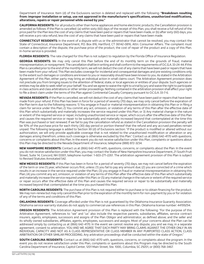Department of Insurance. Item (d) of the Exclusions section is deleted and replaced with the following: **"Breakdown resulting from: improper installation or setup, use not approved in the manufacturer's specifications, unauthorized modifications, alterations, repairs or repair personnel while owned by you."**

**CALIFORNIA RESIDENTS:** For all products other than home appliances and home electronic products, the Cancellation provision is amended as follows: If the Plan is cancelled: (a) within sixty (60) days of the receipt of this Plan, you shall receive a full refund of the price paid for the Plan less the cost of any claims that have been paid or repairs that have been made, or (b) after sixty (60) days, you will receive a pro rata refund, less the cost of any claims that have been paid or repairs that have been made.

**CONNECTICUT RESIDENTS:** In the event of a dispute with us or the administrator that cannot be resolved, you may contact the State of Connecticut, Insurance Department, P.O. Box 816, Hartford, CT 06142-0816, Attn: Consumer Affairs. The complaint must contain a description of the dispute, the purchase price of the product, the cost of repair of the product and a copy of this Plan. In-home service is provided.

**FLORIDA RESIDENTS:** The rate charged for this Plan is not subject to regulation by the Florida Office of Insurance Regulation.

**GEORGIA RESIDENTS:** We may only cancel this Plan before the end of its monthly term on the grounds of fraud, material misrepresentation, or nonpayment. The cancellation shall be in writing and shall conform to the requirements of O.C.G.A. 33-24-44. If this Plan is cancelled prior to the end of the monthly term, we will not deduct the cost of any claims that have been paid or repairs that have been made from your refund. This Plan excludes coverage for incidental and consequential damages and pre-existing conditions only to the extent such damages or conditions are known to you or reasonably should have been known to you. As stated in the Arbitration Agreement of this Plan, either party may bring an individual action in small claims court. The Arbitration Agreement provision does not preclude you from bringing issues to the attention of federal, state, or local agencies or entities of your dispute. Such agencies or entities may be able to seek relief on your behalf. You and we agree to waive the right to a trial by jury and waive the right to participate in class actions and class arbitrations or other similar proceedings. Nothing contained in the arbitration provision shall affect your right to file a direct claim under the terms of this Plan against Continental Casualty Company pursuant to O.C.G.A. 33-7-6.

**NEVADA RESIDENTS:** If the Plan is cancelled, we will not deduct the cost of any claims that have been paid or repairs that have been made from your refund. If this Plan has been in force for a period of seventy (70) days, we may only cancel before the expiration of the Plan term due to the following reasons: 1) You engage in fraud or material misrepresentation in obtaining this Plan or in filing a claim for service under this Plan; 2) You commit any act, omission, or violation of any terms of this Plan after the effective date of this Plan which substantially and materially increases the service required under this Plan; or 3) Any material change in the nature or extent of the required service or repair, including unauthorized service or repair, which occurs after the effective date of this Plan and causes the required service or repair to be substantially and materially increased beyond that contemplated at the time this Plan was purchased or last renewed. If we fail to pay the cancellation refund as stated in the Cancellation provision the penalty will be 10% of the purchase price for each thirty (30) day period or portion thereof that the refund and any accrued penalties remain unpaid. The following language is added to Section XII (d) of Exclusions section: "if the product is modified or altered without our authorization, we will only provide applicable coverage that is not related to the unauthorized modification or alteration or any damages arising therefrom, unless such coverage is otherwise excluded by this Plan." Contact us at (866) 642-4170 with questions, concerns or complaints about this Plan. In the event you do not receive satisfaction under this Plan, complaints or questions about this Plan may be directed to the Nevada Department of Insurance, telephone (888) 872-3234.

**NEW HAMPSHIRE RESIDENTS:** Contact us at (866) 642-4170 with, questions, concerns, or complaints about the Plan. In the event you do not receive satisfaction under this Plan, you may contact the State of New Hampshire Insurance Department, 21 South Fruit Street, Suite 14, Concord, NH 03301, telephone number: 1-603-271-2261. The arbitration agreement provision of this Plan is subject to Revised Statutes Annotated 542.

**NEW MEXICO RESIDENTS:** If this Plan has been in force for a period of seventy (70) days, we may not cancel before the expiration of the term or one (1) year, whichever occurs first, unless: (1) you fail to pay any amount due; (2) you are convicted of a crime which results in an increase in the service required under the Plan; (3) you engage in fraud or material misrepresentation in obtaining this Plan; (4) you commit any act, omission, or violation of any terms of this Plan after the effective date of this Plan which substantially and materially increase the service required under this Plan; or (5) any material change in the nature or extent of the required service or repair occurs after the effective date of this Plan and causes the required service or repair to be substantially and materially increased beyond that contemplated at the time you purchased this Plan.

**NORTH CAROLINA RESIDENTS:** The purchase of this Plan is not required either to purchase or to obtain financing for the product. We may non-renew but may only cancel this Plan prior to the expiration of the monthly term for non-payment by you or for violation of any of the terms and conditions of this Plan.

**OKLAHOMA RESIDENTS:** Coverage afforded under this Plan is not guaranteed by the Oklahoma Insurance Guaranty Association. Oklahoma service warranty statutes do not apply to commercial use references in this Plan. Oklahoma license number: 44199294.

**OREGON RESIDENTS:** The Arbitration Agreement provision of this Plan is replaced with the following: "For the purpose of this Arbitration Agreement, references to "we" and "us" also include the respective parents, subsidiaries, affiliates, service contract insurers, agents, employees, successors and assigns of the Plan Obligor and administrator, as defined above; and the seller and its wholly owned subsidiaries, affiliates, agents, employees, successors and assigns. Most of your concerns about the Plan can be addressed simply by contacting us at (866) 642-4170. In the event we cannot resolve any dispute, you and we may, in a separate agreement, consent to arbitration. YOU AND WE AGREE THAT EACH PARTY MAY BRING CLAIMS AGAINST THE OTHER ONLY IN AN INDIVIDUAL CAPACITY AND NOT AS A CLASS REPRESENTATIVE OR CLASS MEMBER IN ANY PURPORTED CLASS ACTION, CLASS ARBITRATION OR OTHER SIMILAR PROCEEDING. Any arbitration proceedings shall be conducted within the state of Oregon."

**SOUTH CAROLINA RESIDENTS:** Contact us at (866) 642-4170 with, questions, concerns, or complaints about the program. In the event you do not receive satisfaction under this Plan, complaints or questions about this Program may be directed to the South Carolina Department of Insurance, Capitol Center, 1201 Main Street, Ste. 1000., Columbia, SC 29201, or (800) 768-3467.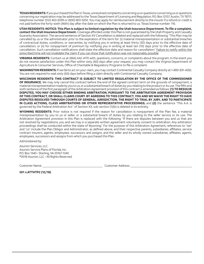**TEXAS RESIDENTS:** If you purchased this Plan in Texas, unresolved complaints concerning us or questions concerning us or questions concerning our registration may be addressed to the Texas Department of Licensing and Regulation, P.O. Box 12157, Austin, TX 78711, telephone number (512) 463-6599 or (800) 803-9202. You may apply for reimbursement directly to the insurer if a refund or credit is not paid before the forty-sixth (46th) day after the date on which the Plan is returned to us. Texas license number: 116.

**UTAH RESIDENTS: NOTICE: This Plan is subject to limited regulation by the Utah Insurance Department. To file a complaint, contact the Utah Insurance Department.** Coverage afforded under this Plan is not guaranteed by the Utah Property and Casualty Guaranty Association. The second sentence of Section XV Cancellation is deleted and replaced with the following: "This Plan may be cancelled by us or the administrator prior to the expiration of the term for: (i) material misrepresentation or substantial breaches of contractual duties, conditions, or warranties, by notifying you in writing at least thirty (30) days prior to the effective date of cancellation; or (ii) for nonpayment of premium by notifying you in writing at least ten (10) days prior to the effective date of cancellation. Such cancellation notifications shall state the effective date and reason for cancellation." Failure to notify within the prescribed time will not invalidate the claim if you can show that notification was not reasonably possible.

**VIRGINIA RESIDENTS:** Contact us at (866) 642-4170 with, questions, concerns, or complaints about the program. In the event you do not receive satisfaction under this Plan within sixty (60) days after your request, you may contact the Virginia Department of Agriculture & Consumer Services, Office of Charitable & Regulatory Programs to file a complaint.

**WASHINGTON RESIDENTS:** If we fail to act on your claim, you may contact Continental Casualty Company directly at 1-800-831-4262. You are not required to wait sixty (60) days before filing a claim directly with Continental Casualty Company.

**WISCONSIN RESIDENTS: THIS CONTRACT IS SUBJECT TO LIMITED REGULATION BY THE OFFICE OF THE COMMISSIONER OF INSURANCE.** We may only cancel this contract before the end of the agreed contract term on the grounds of nonpayment, a material misrepresentation made by you to us, or a substantial breach of duties by you relating to the product or its use. The fifth and sixth sentence of the first paragraph of the Arbitration Agreement provision of this contract is amended as follows: **(1) TO RESOLVE DISPUTES, YOU MAY CHOOSE EITHER BINDING ARBITRATION, PURSUANT TO THE ARBITRATION AGREEMENT PROVISION OF THIS CONTRACT, OR SMALL CLAIMS COURT. BY AGREEING TO THIS CONTRACT, YOU AND WE WAIVE THE RIGHT TO HAVE DISPUTES RESOLVED THROUGH COURTS OF GENERAL JURISDICTION, THE RIGHT TO TRIAL BY JURY, AND TO PARTICIPATE IN CLASS ACTIONS, CLASS ARBITRATIONS OR OTHER REPRESENTATIVE PROCEEDINGS;** and **(2)** the sentence "This A.A. is governed by the Federal Arbitration Act." of Section XX, sub-section (1)(b) is deleted in its entirety.

**WYOMING RESIDENTS:** Prior notice is not required if the reason for cancellation is nonpayment of the Plan fee, a material misrepresentation by you to us or seller, or a substantial breach of duties by you relating to the seller service or its use. The Arbitration Agreement provision in this Plan is replaced with the following: "If there are disputes between you and us that are not resolved by negotiations, you and we may in a separate written agreement voluntarily consent to arbitration. Any arbitration proceedings shall be conducted within the state of Wyoming." For the purpose of this Arbitration Agreement, references to "we" and "us" include the Plan Obligor and Administrator, as defined above, and their respective parents, subsidiaries, affiliates, service contract insurers, agents, employees, successors and assigns; and the seller and its wholly owned subsidiaries, affiliates, agents, employees, successors and assigns from which you purchased this Plan.

Administered by:

Asurion Services, LLC. Asurion Service Plans of Florida, Inc. P.O. Box 1340 • Sterling, VA 20167-1340 ©2018 Asurion, LLC • All Rights Reserved.

Customer Name: Customer Address:

**501 v.ATTHTP2 (12/18)**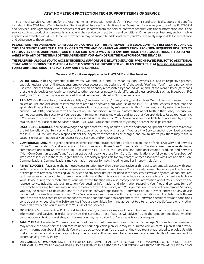#### **AT&T HOMETECH PROTECTION TECH SUPPORT TERMS OF SERVICE**

This Terms of Service Agreement for the AT&T HomeTech Protection web platform ("PLATFORM") and technical support and benefits included in the AT&T HomeTech Protection Services (the "Services") (collectively, the "Agreement") governs your use of the PLATFORM and Services. This Agreement covers services that are separate from the service contract product. Additional information about the service contract product and service is available in the service contract terms and conditions. Other services, features, and/or mobile applications available with AT&T HomeTech Protection may be subject to additional terms, and You are solely responsible for acceptance and adherence to those terms.

**PLEASE READ THIS AGREEMENT CAREFULLY AND COMPLETELY. THIS AGREEMENT IS A LEGAL CONTRACT BETWEEN YOU AND US. THIS AGREEMENT LIMITS THE LIABILITY OF US TO YOU AND CONTAINS AN ARBITRATION PROVISION REQUIRING DISPUTES TO EXCLUSIVELY GO TO ARBITRATION, AND IT ALSO CONTAINS A WAIVER TO ANY JURY TRIAL AND CLASS ACTIONS. IF YOU DO NOT AGREE WITH ANY OF THE TERMS OF THIS AGREEMENT, YOU MAY NOT USE THE PLATFORM OR THE SERVICES.**

#### **THE PLATFORM ALLOWS YOU TO ACCESS TECHNICAL SUPPORT AND RELATED SERVICES, WHICH MAY BE SUBJECT TO ADDITIONAL TERMS AND CONDITIONS. THE PLATFORM AND THE SERVICES ARE PROVIDED TO YOU BY US. CONTACT US AT termsofuse@asurion.com FOR INFORMATION ABOUT THE PLATFORM AND THE SERVICES.**

#### **Terms and Conditions Applicable to PLATFORM and the Services**

- **1. DEFINITIONS.** In this Agreement: (a) the words "We" and "Our" and "Us" mean Asurion Services, LLC and its respective parents, subsidiaries, branches, affiliates, agents, employees, successors and assigns; and (b) the words "You" and "Your" mean a person who uses the Services and/or PLATFORM and any person or entity represented by that individual; and (c) the word "Device(s)" means those eligible devices generally connected to other devices or networks via different wireless protocols such as Bluetooth, NFC, Wi-Fi, LiFi, 3G, etc., used by You and any additional devices as updated in Our sole discretion.
- 2. PRIVACY. Our Privacy Policy is available at https://www.asurion.com/privacy-policy/, and explains Our policies with respect to the collection, use and disclosure of information related to or derived from Your use of the PLATFORM and Services. Please read the applicable Privacy Policy carefully and completely. It is incorporated by reference into this Agreement, and by using the Services and/or PLATFORM, You consent to the collection, use and disclosure of Your information as set forth in that Policy. Because We cannot guarantee the security of Your personal information, You acknowledge and agree that You provide it to Us at Your own risk. If You know or suspect that the passwords associated with or stored on Your Device have been available to or accessed by anyone as a result of Your use of the Services and/or PLATFORM, You should immediately change or reset those passwords.
- **3. DATA-USAGE CHARGES.** You acknowledge and agree that You may need to purchase additional equipment or software to receive the full benefit of the Services, or incur data usage or other fees or charges if You use the Service and/or download and use the PLATFORM. You are solely responsible for the payment of those fees or charges, and any failure to pay them may result in suspension or termination of Your access to the Services and/or PLATFORM.
- **4. COMMUNICATIONS.** You agree to receive electronic communications from Us related to Your use of the PLATFORM and Services ("Core Communications"), and You cannot opt out of receiving those Core Communications. You also agree to receive electronic communications from Us related to Your Device, the PLATFORM, the Services, and additional Asurion products and services ("Non-Core Communications"), and You can opt out of receiving those Non-Core Communications by following the "unsubscribe" instructions included in them. You agree that You are solely responsible for any charges or fees associated with Core and Non-Core Communications. Communications may be made in several formats, including email or in-app/in-platform.
- **5. REMOTE ACCESS.** If available, the Remote Access function may allow a representative or third party to remotely access, with Your authorization, the Device to assist You in managing some features on Your Device. You expressly consent to our support technicians or third parties remotely accessing Your Device and any other devices included in the services, as well as any data, videos, pictures, text messages or other content thereon. You understand that this access may include visual access to any content available on Your Device during the remote share. Your use of the function may also convey certain information about Your Device to the representative, including, without limitation, Your settings information and information regarding Your files and content. Some of the remote accessing features may include remote control of the Device, with Your permission. To receive these remote Services, You may be required to download and/or run certain software applications ("Software") on Your Device and/or on any device connected to or used in connection with Your Device. You agree to comply with the terms and conditions applicable to the Software and, in the event of a conflict between those terms and conditions and this Agreement, the Software-specific terms and conditions control, but only regarding the Software itself. You are prohibited from and agree not to alter or copy the Software or any other materials provided to You as a result of Your use of the Services.
- **6. MONITORING.** Some of the PLATFORM functions and/or Services may include continuous monitoring or scanning of Your information and Devices in order to provide the Services. Those features will advise You in the engagement flows whether continuous monitoring is available, and information may be provided to You in reports or upon request.
- **7. FAMILY PLAN.** If available, You may be able to add authorized members to Your plan and coverage. Such authorized members may receive the same services You receive under Your applicable plan, or it may be a limited version of Your plan. If You provide us with information about individuals You wish to add to your plan, You are warranting that You are authorized to provide Us with that information, and it is Your responsibility to ensure all authorized members have read and agreed to this Agreement and its accompanying Privacy Policy.
- **8. DISCLAIMER OF WARRANTIES.** THE FOLLOWING DISCLAIMER SHALL APPLY TO YOU TO THE MAXIMUM EXTENT PERMITTED BY APPLICABLE LAW. YOU ACKNOWLEDGE AND AGREE THAT THE SERVICES AND PLATFORM ARE PROVIDED ON AN "AS IS" AND "AS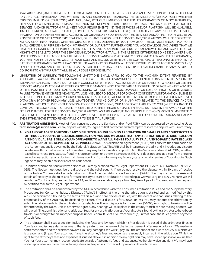AVAILABLE" BASIS, AND THAT YOUR USE OF OR RELIANCE ON EITHER IS AT YOUR SOLE RISK AND DISCRETION. WE HEREBY DISCLAIM ANY AND ALL REPRESENTATIONS, WARRANTIES AND GUARANTIES REGARDING THE SERVICES AND/OR PLATFORM, WHETHER EXPRESS, IMPLIED OR STATUTORY, AND INCLUDING, WITHOUT LIMITATION, THE IMPLIED WARRANTIES OF MERCHANTABILITY, FITNESS FOR A PARTICULAR PURPOSE, AND NON-INFRINGEMENT. FURTHERMORE, WE MAKE NO WARRANTY THAT (A) THE SERVICES AND/OR PLATFORM WILL MEET YOUR REQUIREMENTS; (B) THE SERVICES AND/OR PLATFORM WILL BE AVAILABLE, TIMELY, CURRENT, ACCURATE, RELIABLE, COMPLETE, SECURE OR ERROR-FREE; (C) THE QUALITY OF ANY PRODUCTS, SERVICES, INFORMATION OR OTHER MATERIAL ACCESSED OR OBTAINED BY YOU THROUGH THE SERVICES AND/OR PLATFORM WILL BE AS REPRESENTED OR MEET YOUR EXPECTATIONS; OR (D) ANY ERRORS IN THE SERVICES AND/OR PLATFORM WILL BE CORRECTED. NO ADVICE OR INFORMATION, WHETHER ORAL OR WRITTEN, OBTAINED BY YOU FROM US OR THE SERVICES AND/OR PLATFORM SHALL CREATE ANY REPRESENTATION, WARRANTY OR GUARANTY. FURTHERMORE, YOU ACKNOWLEDGE AND AGREE THAT WE HAVE NO OBLIGATION TO SUPPORT OR MAINTAIN THE SERVICES AND/OR PLATFORM. YOU ACKNOWLEDGE AND AGREE THAT WE MIGHT NOT BE ABLE TO OFFER THE SERVICES AND/OR PLATFORM AT ALL, IN THE ABSENCE OF THE FOREGOING DISCLAIMERS AND LIMITATIONS. IN THE EVENT OF ANY FAILURE OF THE SERVICES AND/OR PLATFORM TO CONFORM TO ANY APPLICABLE WARRANTY, YOU MAY NOTIFY US AND WE WILL, AS YOUR SOLE AND EXCLUSIVE REMEDY, USE COMMERCIALLY REASONABLE EFFORTS TO SATISFY THE WARRANTY. WE WILL HAVE NO OTHER WARRANTY OBLIGATION WHATSOEVER WITH RESPECT TO THE SERVICES AND/ OR PLATFORM, AND ANY OTHER CLAIMS, LOSSES, LIABILITIES, DAMAGES, COSTS OR EXPENSES ATTRIBUTABLE TO ANY FAILURE TO CONFORM TO ANY WARRANTY WILL BE YOUR SOLE RESPONSIBILITY.

- **9. LIMITATION OF LIABILITY.** THE FOLLOWING LIMITATIONS SHALL APPLY TO YOU TO THE MAXIMUM EXTENT PERMITTED BY APPLICABLE LAW. UNDER NO CIRCUMSTANCES SHALL WE BE LIABLE FOR ANY INDIRECT, INCIDENTAL, CONSEQUENTIAL, SPECIAL OR EXEMPLARY DAMAGES ARISING OUT OF OR IN CONNECTION WITH YOUR ACCESS OR USE OF OR INABILITY TO ACCESS OR USE THE SERVICES AND/OR PLATFORM, WHETHER OR NOT THE DAMAGES WERE FORESEEABLE AND WHETHER OR NOT WE WERE ADVISED OF THE POSSIBILITY OF SUCH DAMAGES INCLUDING, WITHOUT LIMITATION, DAMAGES FOR LOSS OF PROFITS OR REVENUES, FAILURE TO TRANSMIT OR RECEIVE ANY DATA, LOSS, MISUSE OR DISCLOSURE OF DATA OR CONFIDENTIAL INFORMATION, BUSINESS INTERRUPTION, LOSS OF PRIVACY, CORRUPTION OR LOSS OF DATA, FAILURE TO RECEIVE OR BACKUP YOUR DATA (OR ARCHIVED DATA) OR ANY OTHER PECUNIARY LOSS WHATSOEVER ARISING OUT OF OR IN ANY WAY RELATED TO THE SERVICES AND/OR PLATFORM. WITHOUT LIMITING THE GENERALITY OF THE FOREGOING, OUR AGGREGATE LIABILITY TO YOU (WHETHER BASED IN CONTRACT, NEGLIGENCE, STRICT LIABILITY, STATUTE OR OTHER THEORY OF LIABILITY) SHALL NOT EXCEED THE AMOUNT OF THE FEES PAID BY YOU FOR THE SERVICES AND/OR PLATFORM AS APPLICABLE, IF ANY, DURING THE TWO (2) MONTHS IMMEDIATELY PRECEDING THE EVENT GIVING RISE TO THE CLAIM, OR \$100.00, WHICHEVER IS GREATER. THE FOREGOING LIMITATIONS WILL APPLY EVEN IF THE ABOVE STATED REMEDY FAILS OF ITS ESSENTIAL PURPOSE.
- **10. ARBITRATION AGREEMENT.** Most of Your concerns about the Services and/or PLATFORM can be addressed by contacting Us at **termsofuse@asurion.com**. For any dispute with Us, You agree to first contact us and attempt to resolve the dispute with us informally.
	- **A. YOU AND WE AGREE TO RESOLVE ANY DISPUTES THROUGH BINDING ARBITRATION OR SMALL CLAIMS COURT INSTEAD OF THROUGH COURTS OF GENERAL JURISDICTION. YOU AND WE AGREE THAT ANY ARBITRATION WILL TAKE PLACE ON AN INDIVIDUAL BASIS ONLY. YOU AND WE AGREE TO WAIVE ALL RIGHTS TO A JURY TRIAL AND TO PARTICIPATE IN CLASS ACTIONS OR OTHER REPRESENTATIVE PROCEEDINGS.** This Arbitration Agreement ("ARB") shall survive the termination of the Agreement and is governed by the Federal Arbitration Act. This ARB shall be interpreted broadly, and it includes any dispute You have with Us that arises out of or relates in any way to Your relationship with Us or the Services and/or PLATFORM, whether based in contract, tort, statute, fraud, misrepresentation or otherwise. However, this ARB does not preclude You from bringing an individual action against Us in small claims court or from informing any federal, state or local agencies of Your dispute. Such agencies may be able to seek relief on Your behalf.
	- **B.** To initiate arbitration, send a written Notice of Claim by certified mail to: Legal Department, P.O. Box 110656, Nashville, TN 37122- 0656. The Notice must describe the dispute and the relief sought. If We do not resolve the dispute within 30 days of receipt of the Notice, You may start an arbitration with the American Arbitration Association ("AAA"). You may contact the AAA and obtain a free copy of the rules and forms necessary to start an arbitration proceeding at www.adr.org or 1-800-778-7879. We will reimburse You for a filing fee paid to the AAA, and if You are unable to pay a filing fee, We will pay it if You send a written request by certified mail to the Legal Department.
	- **C.** The arbitration shall be administered by the AAA in accordance with the Consumer Arbitration Rules and the Supplementary Procedures for Consumer Related Disputes ("Rules") in effect at the time the arbitration is started and as modified by this ARB. The arbitrator is bound by the terms of this ARB and shall decide all issues, with the exception that issues relating to the enforceability of this ARB may be decided by a court. If Your dispute is for \$10,000 or less, You may conduct the arbitration by submitting documents to the arbitrator or by telephone. If Your dispute is for more than \$10,000, Your right to hearings will be determined by the Rules. Unless otherwise agreed, any hearings will take place in the county/parish of Your mailing address. We will pay all filing, administration and arbitrator fees for any arbitration, unless Your dispute is found by the arbitrator to have been frivolous or brought for an improper purpose under Federal Rule of Civil Procedure 11(b). In that case, the Rules govern payment of such fees.
	- **D.** The arbitrator shall issue a decision including the facts and law upon which his/her decision is based. If the arbitrator finds in Your favor and issues a damages award that is greater than the value of the last settlement offer made by Us or if We made no settlement offer, and the arbitrator awards You any damages, We will: (1) pay You the amount of the award or \$2,500, whichever is greater; and (2) pay Your attorney, if any, the attorney's fees and expenses reasonably incurred in the arbitration. While the right to the attorney's fees and expenses discussed above is in addition to any right You may have under applicable law, neither You nor Your attorney may recover duplicate awards of attorney's fees and expenses. We hereby waive any right We may have under applicable law to recover attorney's fees and expenses from You if it prevails in the arbitration.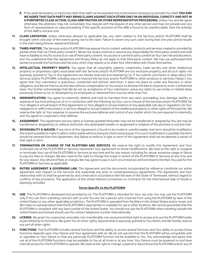- **E.** If You seek declaratory or injunctive relief, that relief can be awarded only to the extent necessary to provide You relief. **YOU AND WE AGREE THAT EACH PARTY MAY BRING CLAIMS AGAINST EACH OTHER ONLY IN AN INDIVIDUAL CAPACITY AND NOT IN A PURPORTED CLASS ACTION, CLASS ARBITRATION OR OTHER REPRESENTATIVE PROCEEDING.** Unless You and We agree otherwise, the arbitrator may not consolidate Your dispute with the dispute of any other person and may not preside over any form of representative or class proceeding. If this specific provision of this ARB is found to be unenforceable, then the entirety of this ARB is null and void.
- **11. CLAIM LIMITATION.** Unless otherwise allowed by applicable law, any claim related to the Services and/or PLATFORM shall be brought within one year of the events giving rise to the claim. Failure to assert any such claim during that one-year period results in the claim being forever waived and barred.
- **12. THIRD-PARTIES.** The Services and/or PLATFORM may expose You to content, websites, products and services created or provided by parties other than Us ("third-party content"). We do not review, endorse or assume any responsibility for third-party content and shall have no liability to You for access to or use of third-party content. You access or use third-party content at Your own risk and discretion, and You understand that this Agreement and Privacy Policy do not apply to that third-party content. We may use authorized third parties to provide the functions and Services, which may require us to share Your information with those third parties.
- 13. **INTELLECTUAL PROPERTY RIGHTS.** You agree that all copyrights, patents, trademarks, trade secrets and other intellectual property or proprietary rights associated with the Services and/or PLATFORM are Our exclusive property, and all such rights not expressly granted to You in this Agreement are hereby reserved and retained by Us. If You submit comments or ideas about the Services and/or PLATFORM, including ways to improve the Services and/or PLATFORM or other products or services ("Ideas"), You agree that Your submission is gratuitous, unsolicited and without restriction. It does not place Us under any fiduciary or other obligation, and We are free to use the Idea without compensation to You and/or to disclose the Idea to anyone on a non-confidential basis. You further acknowledge that We do not, by acceptance of Your submission, waive any rights to use similar or related ideas previously known to Us, or developed by its employees or obtained from sources other than You.
- **14. INDEMNIFICATION.** You agree to indemnify, defend, and hold Us harmless from any claim, proceeding, loss, damage, liability or expense of any kind arising out of or in connection with the following: (a) Your use or misuse of the Services and/or PLATFORM; (b) Your alleged or actual breach of this Agreement; (c) Your alleged or actual violation of any applicable rule, law or regulation; (d) Your negligence or willful misconduct; or (e) Your alleged or actual violation of the intellectual property or other rights of third parties. We reserve the right, at Your expense, to assume the exclusive defense and control of any matter which You are required to indemnify, and You agree to cooperate in that defense.
- **15. ASSIGNMENT.** This Agreement and any rights or licenses granted hereunder may not be transferred or assigned by You, but may be transferred or assigned by Us, without restriction. Any attempted transfer or assignment in violation of this provision is null and void.
- **16. SEVERABILITY & WAIVER.** If any term of this Agreement is found to be invalid or unenforceable, that term should be modified to the extent possible to make it valid or enforceable without losing its intent and purpose. If no such modification is possible, the term should be severed from this Agreement. Any failure to enforce a right or term of this Agreement shall not be deemed a waiver of that right or term.
- **17. TERMINATION OR CHANGE OF THE PLATFORM AND SERVICES.** We reserve the right to modify this Agreement, and Your continued use of the PLATFORM or Services represents Your agreement to those modifications. We reserve the right to suspend or terminate Your use of the PLATFORM or Services at any time and for any reason, including for abuse, excessive usage or failure to pay any fees or charges. We also reserve the right to change the scope or extent of the PLATFORM or Services at any time and for any reason. Any refund of fees or charges We may agree to pay in such circumstances will be limited to the fees You paid for the PLATFORM or Services as applicable.
- **18. ENTIRE AGREEMENT & GOVERNING LAW.** This Agreement and the documents incorporated by reference constitute our entire agreement with respect to the Services and supersede any prior or contemporaneous agreements. This Agreement and Your relationship with Us shall be governed by and construed in accordance with the laws of the State of Tennessee, without regard to conflicts of law provisions. The application of the United Nations Convention on Contracts for the International Sale of Goods is expressly excluded.

#### **Terms Specific to the PLATFORM**

- **19. USE.** The PLATFORM is developed and provided by Us. The PLATFORM is intended for Your use only. You may use the PLATFORM only if You can form a binding contract with Us and You are not a person who is barred from using the PLATFORM by laws of the United States or any other applicable jurisdiction. The PLATFORM is operated from facilities in the United States and/or Israel, and We make no representation that the PLATFORM is appropriate or available for use in other locations. We cannot guarantee that the PLATFORM is compliant with any laws outside of the United States. You should not use the PLATFORM when traveling outside the United States and instead should use the contact telephone number internationally.
- **20. LICENSE.** We grant You a personal, revocable, non-transferable, non-exclusive limited right to access and use the PLATFORM solely as permitted by its functions. We grant You no other rights, beyond what is expressly granted to You herein, and We hereby reserve any and all other rights.
- **21. FUNCTIONS.** The PLATFORM includes several functions and the ability to access several Services, and Your ability to access those functions depends upon Your Device and Your agreement with Us. We do not warrant that the PLATFORM will be compatible with or operable on Your Device or that any particular PLATFORM function will be available to You. You acknowledge and agree that not all of the PLATFORM functions may be available to You at all times or at any time. Your Device must be powered on and have internet access for the PLATFORM to operate. We reserve the right to change, suspend or discontinue the PLATFORM and/or any of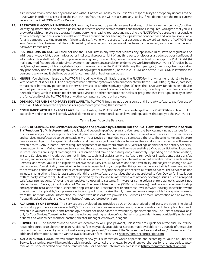its functions at any time, for any reason and without notice or liability to You. It is Your responsibility to accept any updates to the PLATFORM in order to access all of the PLATFORM's features. We will not assume any liability if You do not have the most current version of the PLATFORM on Your Device.

- **22. PASSWORD & ACCOUNT INFORMATION.** You may be asked to provide an email address, mobile phone number, and/or other identifying information and create a password in order to access certain features and functions. If required, you agree that you will provide Us with complete and accurate information when creating Your account and using the PLATFORM. You are solely responsible for any activity that occurs on or in relation to Your account and for keeping Your password confidential, and You are solely liable for any damages resulting from Your failure to do so. Anyone with access to Your account or password can use the PLATFORM on Your Device. If You believe that the confidentiality of Your account or password has been compromised, You should change Your password immediately.
- **23. RESTRICTIONS ON USE.** You shall not use the PLATFORM in any way that violates any applicable rules, laws or regulations or infringes any copyright, trademark or other intellectual property right of any third party or discloses a trade secret or confidential information. You shall not: (a) decompile, reverse engineer, disassemble, derive the source code of or decrypt the PLATFORM; (b) make any modification, adaptation, improvement, enhancement, translation or derivative work from the PLATFORM; (c) redistribute, rent, lease, loan, resell, sublicense, distribute, or otherwise transfer the PLATFORM to any third party; or (d) remove, obscure, or alter any proprietary notices (including any notice of copyright or trademark) of the PLATFORM. Use of the PLATFORM is intended for personal use only and it shall not be used for commercial or business purposes.
- **24. MISUSE.** You shall not misuse the PLATFORM, including, without limitation, using the PLATFORM in any manner that: (a) interferes with or interrupts the PLATFORM or any hardware, software, system or network connected with the PLATFORM; (b) stalks, harasses, threatens or harms any person or is otherwise invasive of another's privacy rights; (c) uses the PLATFORM functions on a device without permission; (d) tampers with or makes an unauthorized connection to any network, including, without limitation, the network of any wireless carrier; (e) disseminates viruses or other computer code, files or programs that interrupt, destroy or limit the functionality of the PLATFORM or any other computer software or hardware.
- **25. OPEN SOURCE AND THIRD-PARTY SOFTWARE.** The PLATFORM may include open source or third-party software, and Your use of the PLATFORM is subject to any licenses or agreements governing that software.
- **26. COMPLIANCE WITH U.S. EXPORT LAWS.** By downloading the PLATFORM, You acknowledge that the PLATFORM is subject to U.S. Export law, and that You will comply with all domestic and international export laws and regulations that apply to the PLATFORM.

#### **Terms Specific to the Services:**

- **27. SCOPE OF SERVICES. The Services are developed and provided by Us and include the PLATFORM functions listed in Section 21 ("Functions") of this Agreement.** If available and depending on Your plan and Your area, the Services may include various forms of in-home and/or in-store support for Your eligible Device(s) and technical support for the use of Your Devices with other devices and services manufactured to be compatible with Your Device or intended to be connected thereto. These in-home and in-store Services are subject to change at Our discretion and may be subject to additional terms and fees, and such information will be made available to You. Any in-home Services require the presence of an authorized adult, 18 years of age or older, for the entirety of the inhome appointment. Various in-store Services and their accompanying fees will be made available to You at participating locations. In-store Services are subject to change at Our discretion and may do so as frequently as monthly. Depending on the store location, in-store Services may include, but are not limited to, technical assistance with software removals or installations, data transfer, backup, and recovery, and Device health checks. Ask Your local store manager for information about available in-home and in-store Services, and when You will be eligible to receive those Services. All Services and their availability are subject to change at Our discretion and Your eligibility to receive the Services is dependent on, among other things, Your adherence to this Agreement and to the terms and conditions of the service contract product. You may not be eligible to receive all of the Services. The Services do not include, among other things, (a) assistance with third-party software or services that are not related to Your Device; (b) installation of third-party software or OEM drivers not supported by Your Device; (c) assistance with network coverage issues, such as dropped calls/data interruptions; (d) over-the-air updates to operating systems, firmware, or some software; (e) diagnostic support not related to Your Device; (f) modification of Original Equipment Manufacturer ("OEM") software; (g) hardware and equipment setup and repair; (h) installation of non-sanctioned applications; or (i) assistance with enterprise level software industry specific hardware or equipment. If applicable, Your plan may include support for authorized family members. You are responsible for acquiring consent from the individual whose information You share with us in order to provide the Services. For more information and answers to frequently asked questions, please visit https://hometechprotection.com.
- **28. AVAILABILITY OF SERVICES.** The Services are developed and provided by Us or Our authorized third-party providers. The digital technical support Services are available 24/7. The in-store Services are available during regular open hours of the applicable store. If available in Your area, the in-home technology product set-up Services are available by appointment only. The Services are available only for Your Devices. To use the Services, the individual seeking service on Your behalf must provide information identifying himself or herself as Your owner, member, partner, director, manager, employee, or agent.
- **29. SERVICE FEES.** The functions and Services are available to You upon payment, unless You are eligible for a free trial. You will be required to agree to a subscription plan. Additional fees may apply to additional Services made available to You outside of the service contract plan. In the event you do not make a required payment, Your use of the Services may be cancelled and/or terminated. For additional information about the various available Service fees, please visit https://hometechprotection.com.
- **30. AUTO RENEWAL TERMS.** We will automatically renew your subscription where applicable and according to Your plan until the Service is cancelled. You will be provided with an option to cancel the renewal. To avoid renewal charges for the next period, autorenewal must be cancelled prior to the renewal date. For additional information, please visit https://hometechprotection.com.